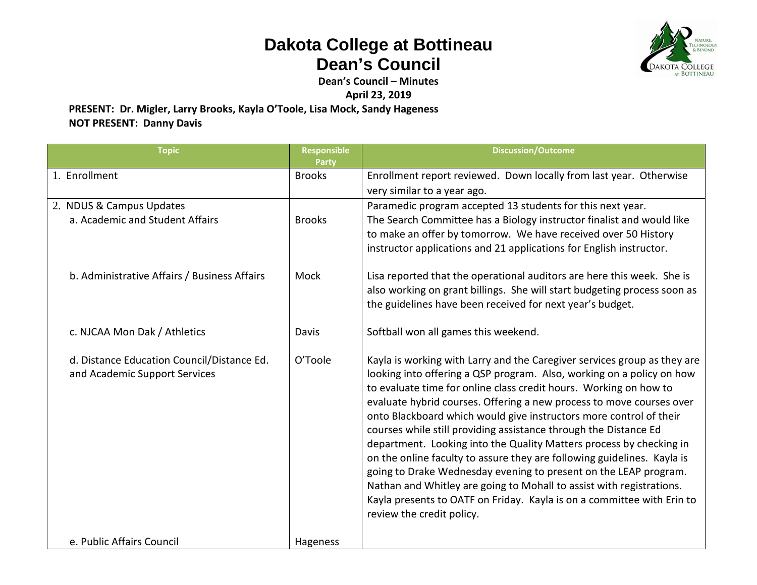## **Dakota College at Bottineau Dean's Council**



**Dean's Council – Minutes**

**April 23, 2019**

**PRESENT: Dr. Migler, Larry Brooks, Kayla O'Toole, Lisa Mock, Sandy Hageness NOT PRESENT: Danny Davis**

| <b>Topic</b>                                                                | <b>Responsible</b><br>Party | <b>Discussion/Outcome</b>                                                                                                                                                                                                                                                                                                                                                                                                                                                                                                                                                                                                                                                                                                                                                                                                                     |
|-----------------------------------------------------------------------------|-----------------------------|-----------------------------------------------------------------------------------------------------------------------------------------------------------------------------------------------------------------------------------------------------------------------------------------------------------------------------------------------------------------------------------------------------------------------------------------------------------------------------------------------------------------------------------------------------------------------------------------------------------------------------------------------------------------------------------------------------------------------------------------------------------------------------------------------------------------------------------------------|
| 1. Enrollment                                                               | <b>Brooks</b>               | Enrollment report reviewed. Down locally from last year. Otherwise<br>very similar to a year ago.                                                                                                                                                                                                                                                                                                                                                                                                                                                                                                                                                                                                                                                                                                                                             |
| 2. NDUS & Campus Updates<br>a. Academic and Student Affairs                 | <b>Brooks</b>               | Paramedic program accepted 13 students for this next year.<br>The Search Committee has a Biology instructor finalist and would like<br>to make an offer by tomorrow. We have received over 50 History<br>instructor applications and 21 applications for English instructor.                                                                                                                                                                                                                                                                                                                                                                                                                                                                                                                                                                  |
| b. Administrative Affairs / Business Affairs                                | Mock                        | Lisa reported that the operational auditors are here this week. She is<br>also working on grant billings. She will start budgeting process soon as<br>the guidelines have been received for next year's budget.                                                                                                                                                                                                                                                                                                                                                                                                                                                                                                                                                                                                                               |
| c. NJCAA Mon Dak / Athletics                                                | Davis                       | Softball won all games this weekend.                                                                                                                                                                                                                                                                                                                                                                                                                                                                                                                                                                                                                                                                                                                                                                                                          |
| d. Distance Education Council/Distance Ed.<br>and Academic Support Services | O'Toole                     | Kayla is working with Larry and the Caregiver services group as they are<br>looking into offering a QSP program. Also, working on a policy on how<br>to evaluate time for online class credit hours. Working on how to<br>evaluate hybrid courses. Offering a new process to move courses over<br>onto Blackboard which would give instructors more control of their<br>courses while still providing assistance through the Distance Ed<br>department. Looking into the Quality Matters process by checking in<br>on the online faculty to assure they are following guidelines. Kayla is<br>going to Drake Wednesday evening to present on the LEAP program.<br>Nathan and Whitley are going to Mohall to assist with registrations.<br>Kayla presents to OATF on Friday. Kayla is on a committee with Erin to<br>review the credit policy. |
| e. Public Affairs Council                                                   | Hageness                    |                                                                                                                                                                                                                                                                                                                                                                                                                                                                                                                                                                                                                                                                                                                                                                                                                                               |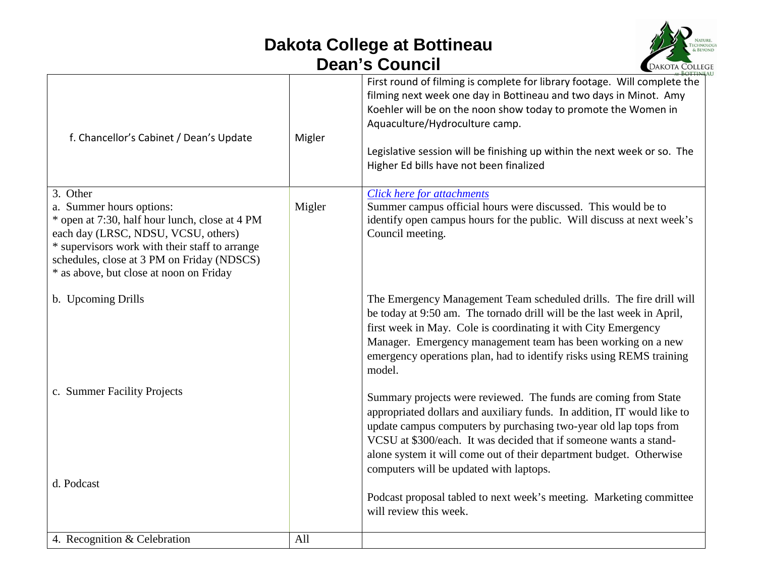## **Dakota College at Bottineau Dean's Council**



| f. Chancellor's Cabinet / Dean's Update                                                                                                                                                                                                                                  | Migler | First round of filming is complete for library footage. Will complete the<br>filming next week one day in Bottineau and two days in Minot. Amy<br>Koehler will be on the noon show today to promote the Women in<br>Aquaculture/Hydroculture camp.<br>Legislative session will be finishing up within the next week or so. The<br>Higher Ed bills have not been finalized                             |
|--------------------------------------------------------------------------------------------------------------------------------------------------------------------------------------------------------------------------------------------------------------------------|--------|-------------------------------------------------------------------------------------------------------------------------------------------------------------------------------------------------------------------------------------------------------------------------------------------------------------------------------------------------------------------------------------------------------|
| 3. Other<br>a. Summer hours options:<br>* open at 7:30, half hour lunch, close at 4 PM<br>each day (LRSC, NDSU, VCSU, others)<br>* supervisors work with their staff to arrange<br>schedules, close at 3 PM on Friday (NDSCS)<br>* as above, but close at noon on Friday | Migler | Click here for attachments<br>Summer campus official hours were discussed. This would be to<br>identify open campus hours for the public. Will discuss at next week's<br>Council meeting.                                                                                                                                                                                                             |
| b. Upcoming Drills                                                                                                                                                                                                                                                       |        | The Emergency Management Team scheduled drills. The fire drill will<br>be today at 9:50 am. The tornado drill will be the last week in April,<br>first week in May. Cole is coordinating it with City Emergency<br>Manager. Emergency management team has been working on a new<br>emergency operations plan, had to identify risks using REMS training<br>model.                                     |
| c. Summer Facility Projects<br>d. Podcast                                                                                                                                                                                                                                |        | Summary projects were reviewed. The funds are coming from State<br>appropriated dollars and auxiliary funds. In addition, IT would like to<br>update campus computers by purchasing two-year old lap tops from<br>VCSU at \$300/each. It was decided that if someone wants a stand-<br>alone system it will come out of their department budget. Otherwise<br>computers will be updated with laptops. |
|                                                                                                                                                                                                                                                                          |        | Podcast proposal tabled to next week's meeting. Marketing committee<br>will review this week.                                                                                                                                                                                                                                                                                                         |
| 4. Recognition & Celebration                                                                                                                                                                                                                                             | All    |                                                                                                                                                                                                                                                                                                                                                                                                       |